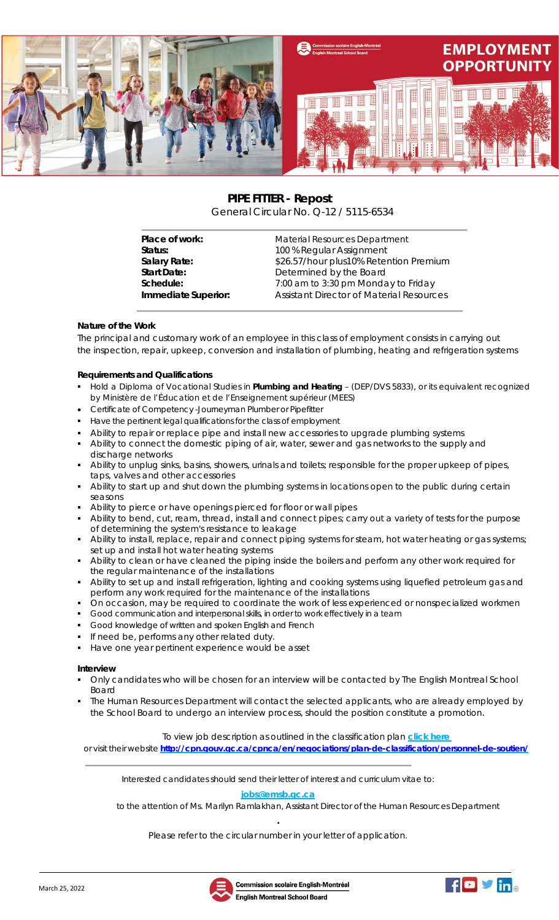

# **PIPE FITTER - Repost** General Circular No. Q-12 / 5115-6534

| Place of work:      | Material Resources Department                   |
|---------------------|-------------------------------------------------|
| Status:             | 100 % Regular Assignment                        |
| Salary Rate:        | \$26.57/hour plus10% Retention Premium          |
| <b>Start Date:</b>  | Determined by the Board                         |
| Schedule:           | 7:00 am to 3:30 pm Monday to Friday             |
| Immediate Superior: | <b>Assistant Director of Material Resources</b> |
|                     |                                                 |

# **Nature of the Work**

The principal and customary work of an employee in this class of employment consists in carrying out the inspection, repair, upkeep, conversion and installation of plumbing, heating and refrigeration systems

### **Requirements and Qualifications**

- Hold a Diploma of Vocational Studies in **Plumbing and Heating** (DEP/DVS 5833), or its equivalent recognized by Ministère de l'Éducation et de l'Enseignement supérieur (MEES)
- Certificate of Competency -Journeyman Plumber or Pipefitter
- Have the pertinent legal qualifications for the class of employment
- Ability to repair or replace pipe and install new accessories to upgrade plumbing systems
- Ability to connect the domestic piping of air, water, sewer and gas networks to the supply and discharge networks
- Ability to unplug sinks, basins, showers, urinals and toilets; responsible for the proper upkeep of pipes, taps, valves and other accessories
- Ability to start up and shut down the plumbing systems in locations open to the public during certain seasons
- Ability to pierce or have openings pierced for floor or wall pipes
- Ability to bend, cut, ream, thread, install and connect pipes; carry out a variety of tests for the purpose of determining the system's resistance to leakage
- Ability to install, replace, repair and connect piping systems for steam, hot water heating or gas systems; set up and install hot water heating systems
- Ability to clean or have cleaned the piping inside the boilers and perform any other work required for the regular maintenance of the installations
- Ability to set up and install refrigeration, lighting and cooking systems using liquefied petroleum gas and perform any work required for the maintenance of the installations
- On occasion, may be required to coordinate the work of less experienced or nonspecialized workmen
- Good communication and interpersonal skills, in order to work effectively in a team
- Good knowledge of written and spoken English and French
- If need be, performs any other related duty.
- Have one year pertinent experience would be asset

#### **Interview**

- Only candidates who will be chosen for an interview will be contacted by The English Montreal School Board
- The Human Resources Department will contact the selected applicants, who are already employed by the School Board to undergo an interview process, should the position constitute a promotion.

## To view job description as outlined in the classification plan **[click](http://cpn.gouv.qc.ca/cpnca/en/negociations/plan-de-classification/personnel-de-soutien/) here**

or visit their website **<http://cpn.gouv.qc.ca/cpnca/en/negociations/plan-de-classification/personnel-de-soutien/>**

Interested candidates should send their letter of interest and curriculum vitae to:

#### **[jobs@emsb.qc.ca](mailto:jobs@emsb.qc.ca)**

to the attention of Ms. Marilyn Ramlakhan, Assistant Director of the Human Resources Department

**.** Please refer to the circular number in your letter of application.